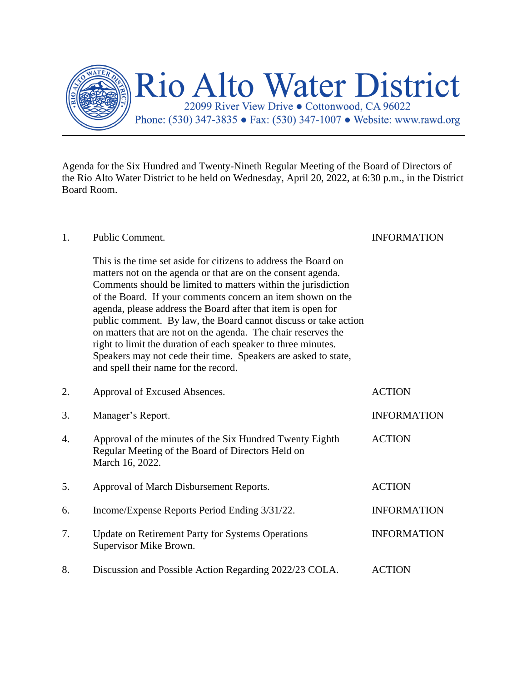

Agenda for the Six Hundred and Twenty-Nineth Regular Meeting of the Board of Directors of the Rio Alto Water District to be held on Wednesday, April 20, 2022, at 6:30 p.m., in the District Board Room.

## 1. Public Comment. INFORMATION This is the time set aside for citizens to address the Board on matters not on the agenda or that are on the consent agenda. Comments should be limited to matters within the jurisdiction of the Board. If your comments concern an item shown on the agenda, please address the Board after that item is open for public comment. By law, the Board cannot discuss or take action on matters that are not on the agenda. The chair reserves the right to limit the duration of each speaker to three minutes. Speakers may not cede their time. Speakers are asked to state, and spell their name for the record. 2. Approval of Excused Absences. ACTION 3. Manager's Report. INFORMATION 4. Approval of the minutes of the Six Hundred Twenty Eighth ACTION Regular Meeting of the Board of Directors Held on March 16, 2022. 5. Approval of March Disbursement Reports. ACTION 6. Income/Expense Reports Period Ending 3/31/22. INFORMATION 7. Update on Retirement Party for Systems Operations INFORMATION Supervisor Mike Brown. 8. Discussion and Possible Action Regarding 2022/23 COLA. ACTION